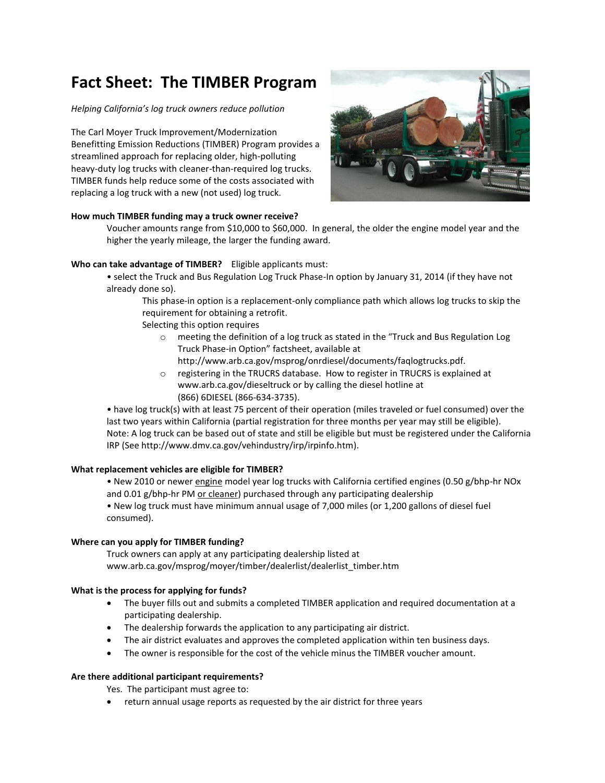# **Fact Sheet: The TIMBER Program**

#### *Helping California's log truck owners reduce pollution*

The Carl Moyer Truck Improvement/Modernization Benefitting Emission Reductions (TIMBER) Program provides a streamlined approach for replacing older, high-polluting heavy-duty log trucks with cleaner-than-required log trucks. TIMBER funds help reduce some of the costs associated with replacing a log truck with a new (not used) log truck.



#### **How much TIMBER funding may a truck owner receive?**

Voucher amounts range from \$10,000 to \$60,000. In general, the older the engine model year and the higher the yearly mileage, the larger the funding award.

## **Who can take advantage of TIMBER?** Eligible applicants must:

• select the Truck and Bus Regulation Log Truck Phase-In option by January 31, 2014 (if they have not already done so).

This phase-in option is a replacement-only compliance path which allows log trucks to skip the requirement for obtaining a retrofit.

Selecting this option requires

- o meeting the definition of a log truck as stated in the "Truck and Bus Regulation Log Truck Phase-in Option" factsheet, available at
- http://www.arb.ca.gov/msprog/onrdiesel/documents/faqlogtrucks.pdf. o registering in the TRUCRS database. How to register in TRUCRS is explained at
- www.arb.ca.gov/dieseltruck or by calling the diesel hotline at (866) 6DIESEL (866-634-3735).

• have log truck(s) with at least 75 percent of their operation (miles traveled or fuel consumed) over the last two years within California (partial registration for three months per year may still be eligible). Note: A log truck can be based out of state and still be eligible but must be registered under the California IRP (See http://www.dmv.ca.gov/vehindustry/irp/irpinfo.htm).

## **What replacement vehicles are eligible for TIMBER?**

• New 2010 or newer engine model year log trucks with California certified engines (0.50 g/bhp-hr NOx and 0.01 g/bhp-hr PM or cleaner) purchased through any participating dealership

• New log truck must have minimum annual usage of 7,000 miles (or 1,200 gallons of diesel fuel consumed).

## **Where can you apply for TIMBER funding?**

Truck owners can apply at any participating dealership listed at www.arb.ca.gov/msprog/moyer/timber/dealerlist/dealerlist\_timber.htm

## **What is the process for applying for funds?**

- The buyer fills out and submits a completed TIMBER application and required documentation at a participating dealership.
- The dealership forwards the application to any participating air district.
- The air district evaluates and approves the completed application within ten business days.
- The owner is responsible for the cost of the vehicle minus the TIMBER voucher amount.

## **Are there additional participant requirements?**

Yes. The participant must agree to:

return annual usage reports as requested by the air district for three years